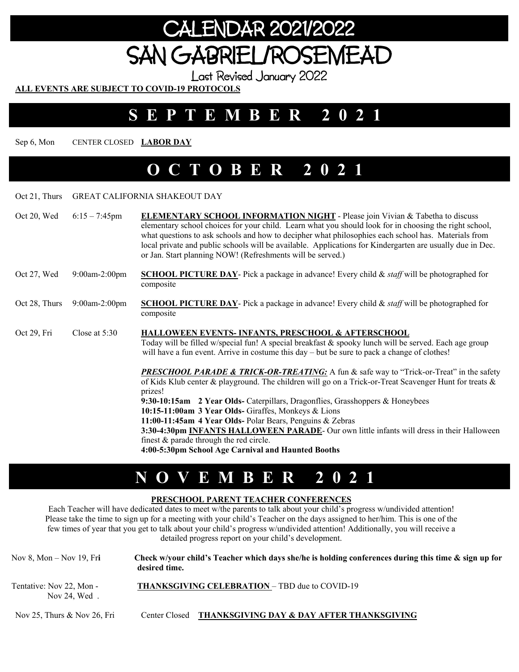# CALENDAR 2021/2022 SAN GABRIEL/ROSEMEAD

Last Revised January 2022

**ALL EVENTS ARE SUBJECT TO COVID-19 PROTOCOLS** 

### **SEPTEMBER 2021**

Sep 6, Mon CENTER CLOSED **LABOR DAY** 

### **OCTOBER 2021**

#### Oct 21, Thurs GREAT CALIFORNIA SHAKEOUT DAY

| Oct 20, Wed   | $6:15 - 7:45$ pm | <b>ELEMENTARY SCHOOL INFORMATION NIGHT</b> - Please join Vivian & Tabetha to discuss<br>elementary school choices for your child. Learn what you should look for in choosing the right school,<br>what questions to ask schools and how to decipher what philosophies each school has. Materials from<br>local private and public schools will be available. Applications for Kindergarten are usually due in Dec.<br>or Jan. Start planning NOW! (Refreshments will be served.)                                                                                                                                                |
|---------------|------------------|---------------------------------------------------------------------------------------------------------------------------------------------------------------------------------------------------------------------------------------------------------------------------------------------------------------------------------------------------------------------------------------------------------------------------------------------------------------------------------------------------------------------------------------------------------------------------------------------------------------------------------|
| Oct 27, Wed   | 9:00am-2:00pm    | <b>SCHOOL PICTURE DAY-</b> Pick a package in advance! Every child $\&$ staff will be photographed for<br>composite                                                                                                                                                                                                                                                                                                                                                                                                                                                                                                              |
| Oct 28, Thurs | $9:00$ am-2:00pm | <b>SCHOOL PICTURE DAY-</b> Pick a package in advance! Every child $\&$ staff will be photographed for<br>composite                                                                                                                                                                                                                                                                                                                                                                                                                                                                                                              |
| Oct 29, Fri   | Close at $5:30$  | HALLOWEEN EVENTS-INFANTS, PRESCHOOL & AFTERSCHOOL<br>Today will be filled w/special fun! A special breakfast & spooky lunch will be served. Each age group<br>will have a fun event. Arrive in costume this day – but be sure to pack a change of clothes!                                                                                                                                                                                                                                                                                                                                                                      |
|               |                  | <b>PRESCHOOL PARADE &amp; TRICK-OR-TREATING:</b> A fun & safe way to "Trick-or-Treat" in the safety<br>of Kids Klub center & playground. The children will go on a Trick-or-Treat Scavenger Hunt for treats &<br>prizes!<br>9:30-10:15am 2 Year Olds- Caterpillars, Dragonflies, Grasshoppers & Honeybees<br>10:15-11:00am 3 Year Olds- Giraffes, Monkeys & Lions<br>11:00-11:45am 4 Year Olds- Polar Bears, Penguins & Zebras<br>3:30-4:30pm INFANTS HALLOWEEN PARADE- Our own little infants will dress in their Halloween<br>finest $&$ parade through the red circle.<br>4:00-5:30pm School Age Carnival and Haunted Booths |

### **NOVEMBER 2021**

#### **PRESCHOOL PARENT TEACHER CONFERENCES**

Each Teacher will have dedicated dates to meet w/the parents to talk about your child's progress w/undivided attention! Please take the time to sign up for a meeting with your child's Teacher on the days assigned to her/him. This is one of the few times of year that you get to talk about your child's progress w/undivided attention! Additionally, you will receive a detailed progress report on your child's development.

| Nov 8, Mon $-$ Nov 19, Fri               | Check w/your child's Teacher which days she/he is holding conferences during this time & sign up for<br>desired time. |  |
|------------------------------------------|-----------------------------------------------------------------------------------------------------------------------|--|
| Tentative: Nov 22, Mon -<br>Nov 24. Wed. | <b>THANKSGIVING CELEBRATION – TBD due to COVID-19</b>                                                                 |  |
| Nov 25. Thurs $&$ Nov 26. Fri            | Center Closed – THANKSGIVING DAY & DAY AFTER THANKSGIVING                                                             |  |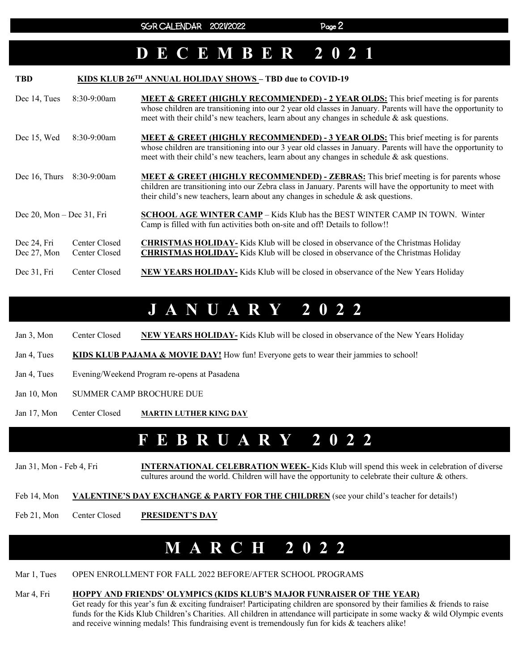### **DECEMBER 2021**

| <b>TBD</b>                      |                                | KIDS KLUB 26 <sup>TH</sup> ANNUAL HOLIDAY SHOWS - TBD due to COVID-19                                                                                                                                                                                                                                           |
|---------------------------------|--------------------------------|-----------------------------------------------------------------------------------------------------------------------------------------------------------------------------------------------------------------------------------------------------------------------------------------------------------------|
| Dec 14, Tues                    | $8:30-9:00am$                  | <b>MEET &amp; GREET (HIGHLY RECOMMENDED) - 2 YEAR OLDS:</b> This brief meeting is for parents<br>whose children are transitioning into our 2 year old classes in January. Parents will have the opportunity to<br>meet with their child's new teachers, learn about any changes in schedule $\&$ ask questions. |
| Dec 15, Wed                     | $8:30-9:00am$                  | <b>MEET &amp; GREET (HIGHLY RECOMMENDED) - 3 YEAR OLDS:</b> This brief meeting is for parents<br>whose children are transitioning into our 3 year old classes in January. Parents will have the opportunity to<br>meet with their child's new teachers, learn about any changes in schedule & ask questions.    |
| Dec 16, Thurs                   | $8:30-9:00am$                  | <b>MEET &amp; GREET (HIGHLY RECOMMENDED) - ZEBRAS:</b> This brief meeting is for parents whose<br>children are transitioning into our Zebra class in January. Parents will have the opportunity to meet with<br>their child's new teachers, learn about any changes in schedule $\&$ ask questions.             |
| Dec $20$ , Mon – Dec $31$ , Fri |                                | <b>SCHOOL AGE WINTER CAMP</b> – Kids Klub has the BEST WINTER CAMP IN TOWN. Winter<br>Camp is filled with fun activities both on-site and off! Details to follow!!                                                                                                                                              |
| Dec 24, Fri<br>Dec 27, Mon      | Center Closed<br>Center Closed | <b>CHRISTMAS HOLIDAY-</b> Kids Klub will be closed in observance of the Christmas Holiday<br><b>CHRISTMAS HOLIDAY-</b> Kids Klub will be closed in observance of the Christmas Holiday                                                                                                                          |
| Dec 31, Fri                     | Center Closed                  | <b>NEW YEARS HOLIDAY-</b> Kids Klub will be closed in observance of the New Years Holiday                                                                                                                                                                                                                       |

### **JANUARY 2022**

| Jan 3, Mon  | Center Closed                                | <b>NEW YEARS HOLIDAY-</b> Kids Klub will be closed in observance of the New Years Holiday |
|-------------|----------------------------------------------|-------------------------------------------------------------------------------------------|
| Jan 4, Tues |                                              | KIDS KLUB PAJAMA & MOVIE DAY! How fun! Everyone gets to wear their jammies to school!     |
| Jan 4, Tues | Evening/Weekend Program re-opens at Pasadena |                                                                                           |

- Jan 10, Mon SUMMER CAMP BROCHURE DUE
- Jan 17, Mon Center Closed **MARTIN LUTHER KING DAY**

### **FEBRUARY 2022**

Jan 31, Mon - Feb 4, Fri **INTERNATIONAL CELEBRATION WEEK-** Kids Klub will spend this week in celebration of diverse cultures around the world. Children will have the opportunity to celebrate their culture & others.

Feb 14, Mon **VALENTINE'S DAY EXCHANGE & PARTY FOR THE CHILDREN** (see your child's teacher for details!)

Feb 21, Mon Center Closed **PRESIDENT'S DAY** 

# **MARCH 2022**

Mar 1, Tues OPEN ENROLLMENT FOR FALL 2022 BEFORE/AFTER SCHOOL PROGRAMS

#### Mar 4, Fri **HOPPY AND FRIENDS' OLYMPICS (KIDS KLUB'S MAJOR FUNRAISER OF THE YEAR)**

Get ready for this year's fun & exciting fundraiser! Participating children are sponsored by their families & friends to raise funds for the Kids Klub Children's Charities. All children in attendance will participate in some wacky & wild Olympic events and receive winning medals! This fundraising event is tremendously fun for kids & teachers alike!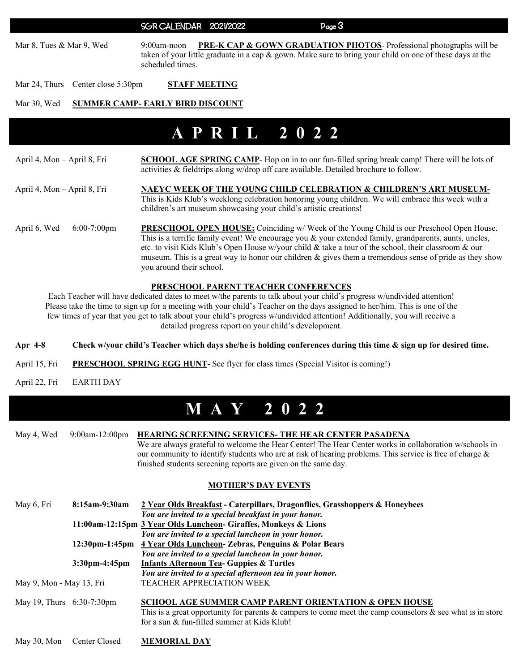#### SGR CALENDAR 2021/2022 Page 3

Mar 8, Tues & Mar 9, Wed 9:00am-noon PRE-K CAP & GOWN GRADUATION PHOTOS- Professional photographs will be taken of your little graduate in a cap & gown. Make sure to bring your child on one of these days at the scheduled times.

Mar 24, Thurs Center close 5:30pm **STAFF MEETING** 

#### Mar 30, Wed **SUMMER CAMP- EARLY BIRD DISCOUNT**

### **APRIL 2022**

| April 4, Mon – April 8, Fri    | <b>SCHOOL AGE SPRING CAMP-</b> Hop on in to our fun-filled spring break camp! There will be lots of<br>activities & fieldtrips along w/drop off care available. Detailed brochure to follow.                                                                                                                                                                                                                                                                   |
|--------------------------------|----------------------------------------------------------------------------------------------------------------------------------------------------------------------------------------------------------------------------------------------------------------------------------------------------------------------------------------------------------------------------------------------------------------------------------------------------------------|
| April 4, Mon – April 8, Fri    | NAEYC WEEK OF THE YOUNG CHILD CELEBRATION & CHILDREN'S ART MUSEUM-<br>This is Kids Klub's weeklong celebration honoring young children. We will embrace this week with a<br>children's art museum showcasing your child's artistic creations!                                                                                                                                                                                                                  |
| April 6, Wed<br>$6:00-7:00$ pm | <b>PRESCHOOL OPEN HOUSE:</b> Coinciding w/ Week of the Young Child is our Preschool Open House.<br>This is a terrific family event! We encourage you $\&$ your extended family, grandparents, aunts, uncles,<br>etc. to visit Kids Klub's Open House w/your child & take a tour of the school, their classroom & our<br>museum. This is a great way to honor our children $\&$ gives them a tremendous sense of pride as they show<br>you around their school. |

#### **PRESCHOOL PARENT TEACHER CONFERENCES**

Each Teacher will have dedicated dates to meet w/the parents to talk about your child's progress w/undivided attention! Please take the time to sign up for a meeting with your child's Teacher on the days assigned to her/him. This is one of the few times of year that you get to talk about your child's progress w/undivided attention! Additionally, you will receive a detailed progress report on your child's development.

- **Apr 4-8 Check w/your child's Teacher which days she/he is holding conferences during this time & sign up for desired time.**
- April 15, Fri PRESCHOOL SPRING EGG HUNT- See flyer for class times (Special Visitor is coming!)
- April 22, Fri EARTH DAY

# **MAY 2022**

|  | May 4, Wed 9:00am-12:00pm HEARING SCREENING SERVICES-THE HEAR CENTER PASADENA                               |
|--|-------------------------------------------------------------------------------------------------------------|
|  | We are always grateful to welcome the Hear Center! The Hear Center works in collaboration w/schools in      |
|  | our community to identify students who are at risk of hearing problems. This service is free of charge $\&$ |
|  | finished students screening reports are given on the same day.                                              |

#### **MOTHER'S DAY EVENTS**

| May 6, Fri                   | 8:15am-9:30am    | 2 Year Olds Breakfast - Caterpillars, Dragonflies, Grasshoppers & Honeybees<br>You are invited to a special breakfast in your honor.                                                                                                |
|------------------------------|------------------|-------------------------------------------------------------------------------------------------------------------------------------------------------------------------------------------------------------------------------------|
|                              |                  | 11:00am-12:15pm 3 Year Olds Luncheon- Giraffes, Monkeys & Lions<br>You are invited to a special luncheon in your honor.                                                                                                             |
|                              |                  | 12:30pm-1:45pm 4 Year Olds Luncheon- Zebras, Penguins & Polar Bears                                                                                                                                                                 |
|                              | $3:30$ pm-4:45pm | You are invited to a special luncheon in your honor.<br><b>Infants Afternoon Tea- Guppies &amp; Turtles</b>                                                                                                                         |
| May 9, Mon - May 13, Fri     |                  | You are invited to a special afternoon tea in your honor.<br><b>TEACHER APPRECIATION WEEK</b>                                                                                                                                       |
| May 19, Thurs $6:30-7:30$ pm |                  | <b>SCHOOL AGE SUMMER CAMP PARENT ORIENTATION &amp; OPEN HOUSE</b><br>This is a great opportunity for parents $\&$ campers to come meet the camp counselors $\&$ see what is in store<br>for a sun & fun-filled summer at Kids Klub! |

May 30, Mon Center Closed **MEMORIAL DAY**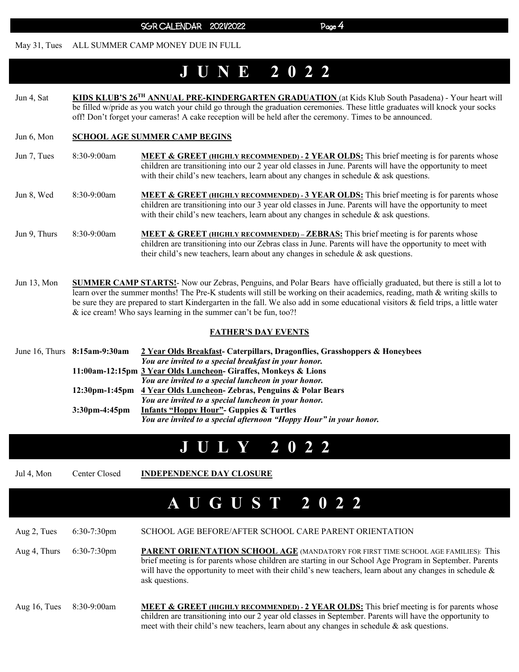#### May 31, Tues ALL SUMMER CAMP MONEY DUE IN FULL

# **JUNE 2022**

Jun 4, Sat **KIDS KLUB'S 26TH ANNUAL PRE-KINDERGARTEN GRADUATION** (at Kids Klub South Pasadena) - Your heart will be filled w/pride as you watch your child go through the graduation ceremonies. These little graduates will knock your socks off! Don't forget your cameras! A cake reception will be held after the ceremony. Times to be announced.

#### Jun 6, Mon **SCHOOL AGE SUMMER CAMP BEGINS**

- Jun 7, Tues 8:30-9:00am **MEET & GREET (HIGHLY RECOMMENDED) 2 YEAR OLDS:** This brief meeting is for parents whose children are transitioning into our 2 year old classes in June. Parents will have the opportunity to meet with their child's new teachers, learn about any changes in schedule  $\&$  ask questions.
- Jun 8, Wed 8:30-9:00am **MEET & GREET (HIGHLY RECOMMENDED) 3 YEAR OLDS:** This brief meeting is for parents whose children are transitioning into our 3 year old classes in June. Parents will have the opportunity to meet with their child's new teachers, learn about any changes in schedule & ask questions.

Jun 9, Thurs 8:30-9:00am **MEET & GREET (HIGHLY RECOMMENDED) – ZEBRAS:** This brief meeting is for parents whose children are transitioning into our Zebras class in June. Parents will have the opportunity to meet with their child's new teachers, learn about any changes in schedule  $\&$  ask questions.

Jun 13, Mon **SUMMER CAMP STARTS!**- Now our Zebras, Penguins, and Polar Bears have officially graduated, but there is still a lot to learn over the summer months! The Pre-K students will still be working on their academics, reading, math & writing skills to be sure they are prepared to start Kindergarten in the fall. We also add in some educational visitors & field trips, a little water & ice cream! Who says learning in the summer can't be fun, too?!

#### **FATHER'S DAY EVENTS**

|  | June 16, Thurs 8:15am-9:30am | 2 Year Olds Breakfast- Caterpillars, Dragonflies, Grasshoppers & Honeybees |
|--|------------------------------|----------------------------------------------------------------------------|
|  |                              | You are invited to a special breakfast in your honor.                      |
|  |                              | 11:00am-12:15pm 3 Year Olds Luncheon- Giraffes, Monkeys & Lions            |
|  |                              | You are invited to a special luncheon in your honor.                       |
|  |                              | 12:30pm-1:45pm 4 Year Olds Luncheon- Zebras, Penguins & Polar Bears        |
|  |                              | You are invited to a special luncheon in your honor.                       |
|  | $3:30$ pm-4:45pm             | <b>Infants "Hoppy Hour"- Guppies &amp; Turtles</b>                         |
|  |                              | You are invited to a special afternoon "Hoppy Hour" in your honor.         |

### **JULY 2022**

Jul 4, Mon Center Closed **INDEPENDENCE DAY CLOSURE** 

# **A U G U S T 2 0 2 2**

Aug 2, Tues 6:30-7:30pm SCHOOL AGE BEFORE/AFTER SCHOOL CARE PARENT ORIENTATION Aug 4, Thurs 6:30-7:30pm **PARENT ORIENTATION SCHOOL AGE** (MANDATORY FOR FIRST TIME SCHOOL AGE FAMILIES): This brief meeting is for parents whose children are starting in our School Age Program in September. Parents will have the opportunity to meet with their child's new teachers, learn about any changes in schedule  $\&$ ask questions.

Aug 16, Tues 8:30-9:00am **MEET & GREET (HIGHLY RECOMMENDED) - 2 YEAR OLDS:** This brief meeting is for parents whose children are transitioning into our 2 year old classes in September. Parents will have the opportunity to meet with their child's new teachers, learn about any changes in schedule  $\&$  ask questions.